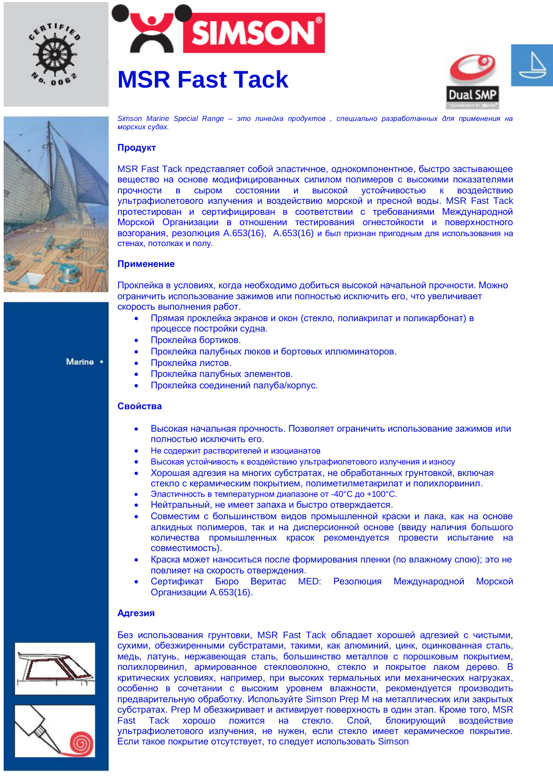







Marine .

Simson Marine Special Range – это линейка продуктов, специально разработанных для применения на *MODCKUX Cγθax.* 

# Продукт

MSR Fast Tack представляет собой эластичное, однокомпонентное, быстро застывающее вещество на основе модифицированных силилом полимеров с высокими показателями ПООЧНОСТИ В СЫРОМ СОСТОЯНИИ И ВЫСОКОЙ УСТОЙЧИВОСТЬЮ К ВОЗДЕЙСТВИЮ үльтрафиолетового излучения и воздействию морской и пресной воды. MSR Fast Tack протестирован и сертифицирован в соответствии с требованиями Международной Морской Организации в отношении тестирования огнестойкости и поверхностного возгорания, резолюция А.653(16), А.653(16) и был признан пригодным для использования на стенах. потолках и полу.

### Применение

Проклейка в условиях, когда необходимо добиться высокой начальной прочности. Можно ограничить использование зажимов или полностью исключить его, что увеличивает скорость выполнения работ.

- Прямая проклейка экранов и окон (стекло, полиакрилат и поликарбонат) в процессе постройки судна.
- Проклейка бортиков.
- Проклейка палубных люков и бортовых иллюминаторов.
- Проклейка листов.
	- Проклейка палубных элементов.
	- Проклейка соединений палуба/корпус.

#### **Свойства**

- Высокая начальная прочность. Позволяет ограничить использование зажимов или полностью исключить его.
- Не содержит растворителей и изоцианатов
- Высокая устойчивость к воздействию ультрафиолетового излучения и износу
- Хорошая адгезия на многих субстратах, не обработанных грунтовкой, включая стекло с керамическим покрытием, полиметилметакрилат и полихлорвинил.
- Эластичность в температурном диапазоне от -40°С до +100°С.
- Нейтральный, не имеет запаха и быстро отверждается.
- Совместим с большинством видов промышленной краски и лака, как на основе алкидных полимеров, так и на дисперсионной основе (ввиду наличия большого количества промышленных красок рекомендуется провести испытание на совместимость).
- Краска может наноситься после формирования пленки (по влажному слою); это не повлияет на скорость отверждения.
- Сертификат Бюро Веритас МЕD: Резолюция Международной Морской Организации А.653(16).

#### **Адгезия**





Без использования грунтовки, MSR Fast Tack обладает хорошей адгезией с чистыми, сухими, обезжиренными субстратами, такими, как алюминий, цинк, оцинкованная сталь, медь, латунь, нержавеющая сталь, большинство металлов с порошковым покрытием, полихлорвинил, армированное стекловолокно, стекло и покрытое лаком дерево. В критических условиях, например, при высоких термальных или механических нагрузках, особенно в сочетании с высоким уровнем влажности, рекомендуется производить предварительную обработку. Используйте Simson Prep М на металлических или закрытых субстратах. Prep M обезжиривает и активирует поверхность в один этап. Кроме того, MSR Fast Tack хорошо ложится на стекло. Слой, блокирующий воздействие ультрафиолетового излучения, не нужен, если стекло имеет керамическое покрытие. Если такое покрытие отсутствует, то следует использовать Simson